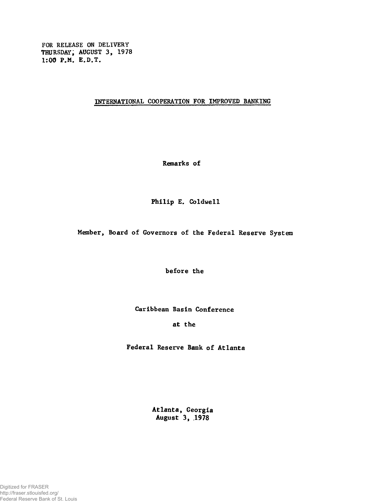FOR RELEASE ON DELIVERY THURSDAY, AUGUST 3, 1978 1:00 P.M. E.D.T.

INTERNATIONAL COOPERATION FOR IMPROVED BANKING

Remarks of

Philip E. Coldwell

Member, Board of Governors of the Federal Reserve System

before the

Caribbean Basin Conference

at the

Federal Reserve Bank of Atlanta

Atlanta, Georgia August 3, 1978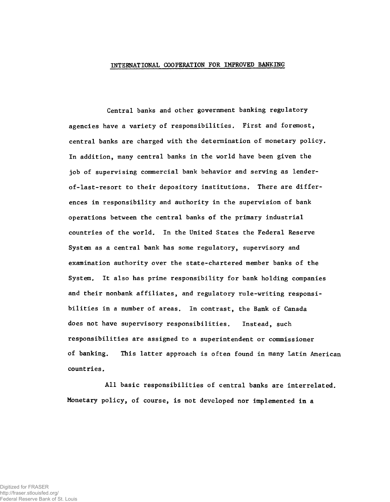## INTERNATIONAL COOPERATION FOR IMPROVED BANKING

Central banks and other government banking regulatory agencies have a variety of responsibilities. First and foremost, central banks are charged with the determination of monetary policy. In addition, many central banks in the world have been given the job of supervising commercial bank behavior and serving as lenderof-last-resort to their depository institutions. There are differences in responsibility and authority in the supervision of bank operations between the central banks of the primary industrial countries of the world. In the United States the Federal Reserve System as a central bank has some regulatory, supervisory and examination authority over the state-chartered member banks of the System. It also has prime responsibility for bank holding companies and their nonbank affiliates, and regulatory rule-writing responsibilities in a number of areas. In contrast, the Bank of Canada does not have supervisory responsibilities. Instead, such responsibilities are assigned to a superintendent or commissioner of banking. This latter approach is often found in many Latin American countries.

All basic responsibilities of central banks are interrelated. Monetary policy, of course, is not developed nor implemented in a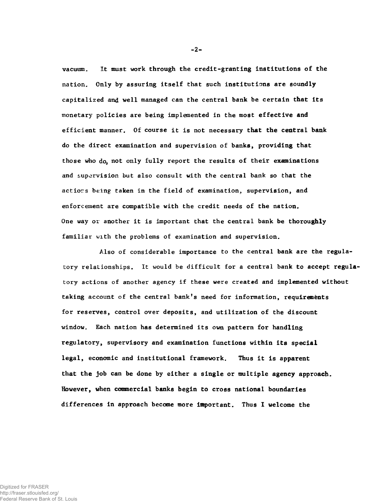vacuum. It must work through the credit-granting institutions of the nation. Only by assuring itself that such institutions are soundly capitalized and well managed can the central bank be certain that its monetary policies are being implemented in the most effective and efficient manner. Of course it is not necessary that the central bank do the direct examination and supervision of banks, providing that those who do, not only fully report the results of their examinations and supervision but also consult with the central bank so that the actiors being taken in the field of examination, supervision, and enforcement are compatible with the credit needs of the nation. One way or another it is important that the central bank be thoroughly familiar with the problems of examination and supervision.

Also of considerable importance to the central bank are the regulatory relationships. It would be difficult for a central bank to accept regulatory actions of another agency if these were created and implemented without taking account of the central bank's need for information, requirements for reserves, control over deposits, and utilization of the discount window. Each nation has determined its own pattern for handling regulatory, supervisory and examination functions within its special legal, economic and institutional framework. Thus it is apparent that the job can be done by either a single or multiple agency approach. However, when commercial banks begin to cross national boundaries differences in approach become more important. Thus I welcome the

-2-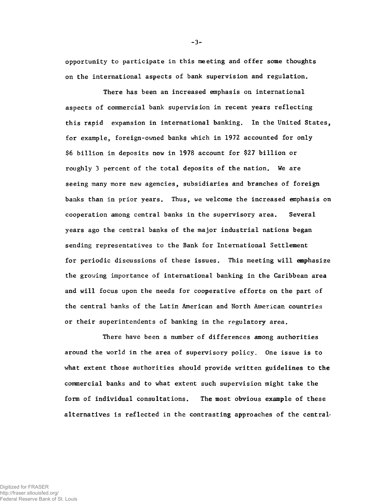opportunity to participate in this meeting and offer some thoughts on the international aspects of bank supervision and regulation.

There has been an increased emphasis on international aspects of commercial bank supervision in recent years reflecting this rapid expansion in international banking. In the United States, for example, foreign-owned banks which in 1972 accounted for only \$6 billion in deposits now in 1978 account for \$27 billion or roughly 3 percent of the total deposits of the nation. We are seeing many more new agencies, subsidiaries and branches of foreign banks than in prior years. Thus, we welcome the increased emphasis on cooperation among central banks in the supervisory area. Several years ago the central banks of the major industrial nations began sending representatives to the Bank for International Settlement for periodic discussions of these issues. This meeting will emphasize the growing importance of international banking in the Caribbean area and will focus upon the needs for cooperative efforts on the part of the central banks of the Latin American and North American countries or their superintendents of banking in the regulatory area.

There have been a number of differences among authorities around the world in the area of supervisory policy. One issue is to what extent those authorities should provide written guidelines to the commercial banks and to what extent such supervision might take the form of individual consultations. The most obvious example of these alternatives is reflected in the contrasting approaches of the central-

Digitized for FRASER http://fraser.stlouisfed.org/ Federal Reserve Bank of St. Louis -3-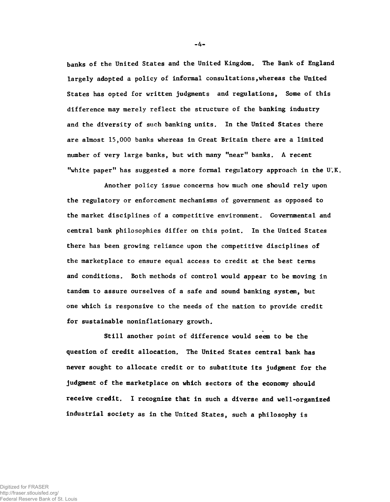banks of the United States and the United Kingdom. The Bank of England largely adopted a policy of informal consultations, whereas the United States has opted for written judgments and regulations, Some of this difference may merely reflect the structure of the banking industry and the diversity of such banking units. In the United States there are almost 15,000 banks whereas in Great Britain there are a limited number of very large banks, but with many "near" banks. A recent "white paper" has suggested a more formal regulatory approach in the U.K.

Another policy issue concerns how much one should rely upon the regulatory or enforcement mechanisms of government as opposed to the market disciplines of a competitive environment. Governmental and central bank philosophies differ on this point. In the United States there has been growing reliance upon the competitive disciplines of the marketplace to ensure equal access to credit at the best terms and conditions. Both methods of control would appear to be moving in tandem to assure ourselves of a safe and sound banking system, but one which is responsive to the needs of the nation to provide credit for sustainable noninflationary growth.

Still another point of difference would seem to be the question of credit allocation. The United States central bank has never sought to allocate credit or to substitute its judgment for the judgment of the marketplace on which sectors of the economy should receive credit. I recognize that in such a diverse and well-organized industrial society as in the United States, such a philosophy is

-4-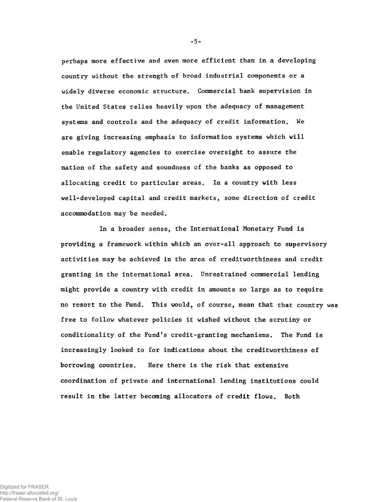perhaps more effective and even more efficient than in a developing country without the strength of broad industrial components or a widely diverse economic structure. Commercial bank supervision in the United States relies heavily upon the adequacy of management systems and controls and the adequacy of credit information. We are giving increasing emphasis to information systems which will enable regulatory agencies to exercise oversight to assure the nation of the safety and soundness of the banks as opposed to allocating credit to particular areas. In a country with less well-developed capital and credit markets, some direction of credit accommodation may be needed.

In a broader sense, the International Monetary Fund is providing a framework within which an over-all approach to supervisory activities may be achieved in the area of creditworthiness and credit granting in the international area. Unrestrained commercial lending might provide a country with credit in amounts so large as to require no resort to the Fund. This would, of course, mean that that country was free to follow whatever policies it wished without the scrutiny or conditionality of the Fund's credit-granting mechanisms. The Fund is increasingly looked to for indications about the creditworthiness of borrowing countries. Here there is the risk that extensive coordination of private and international lending institutions could result in the latter becoming allocators of credit flows. Both

-5-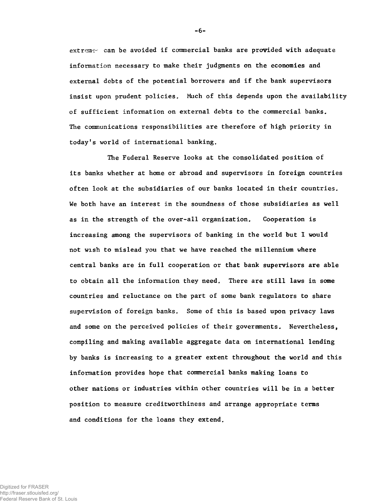$ext{array}$  can be avoided if commercial banks are provided with adequate information necessary to make their judgments on the economies and external debts of the potential borrowers and if the bank supervisors insist upon prudent policies. Much of this depends upon the availability of sufficient information on external debts to the commercial banks. The communications responsibilities are therefore of high priority in today's world of international banking.

The Federal Reserve looks at the consolidated position of its banks whether at home or abroad and supervisors in foreign countries often look at the subsidiaries of our banks located in their countries. We both have an interest in the soundness of those subsidiaries as well as in the strength of the over-all organization. Cooperation is increasing among the supervisors of banking in the world but I would not wish to mislead you that we have reached the millennium where central banks are in full cooperation or that bank supervisors are able to obtain all the information they need. There are still laws in some countries and reluctance on the part of some bank regulators to share supervision of foreign banks. Some of this is based upon privacy laws and some on the perceived policies of their governments. Nevertheless, compiling and making available aggregate data on international lending by banks is increasing to a greater extent throughout the world and this information provides hope that commercial banks making loans to other nations or industries within other countries will be in a better position to measure creditworthiness and arrange appropriate terms and conditions for the loans they extend.

-6-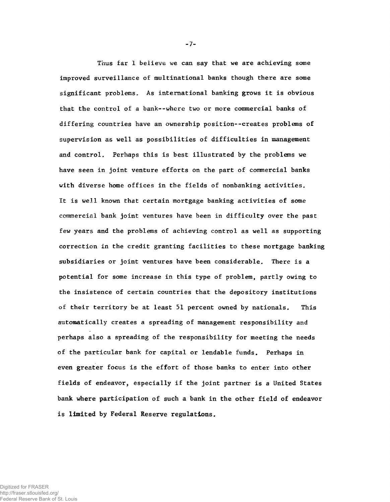Thus far I believe we can say that we are achieving some improved surveillance of multinational banks though there are some significant problems. As international banking grows it is obvious that the control of a bank--where two or more commercial banks of differing countries have an ownership position--creates problems of supervision as well as possibilities of difficulties in management and control. Perhaps this is best illustrated by the problems we have seen in joint venture efforts on the part of commercial banks with diverse home offices in the fields of nonbanking activities. It is well known that certain mortgage banking activities of some commercial bank joint ventures have been in difficulty over the past few years and the problems of achieving control as well as supporting correction in the credit granting facilities to these mortgage banking subsidiaries or joint ventures have been considerable. There is a potential for some increase in this type of problem, partly owing to the insistence of certain countries that the depository institutions of their territory be at least 51 percent owned by nationals. This automatically creates a spreading of management responsibility and perhaps also a spreading of the responsibility for meeting the needs of the particular bank for capital or lendable funds. Perhaps in even greater focus is the effort of those banks to enter into other fields of endeavor, especially if the joint partner is a United States bank where participation of such a bank in the other field of endeavor is limited by Federal Reserve regulations.

-7-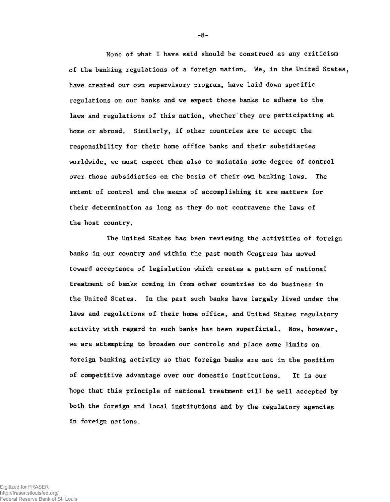None of what I have said should be construed as any criticism of the banking regulations of a foreign nation. We, in the United States, have created our own supervisory program, have laid down specific regulations on our banks and we expect those banks to adhere to the laws and regulations of this nation, whether they are participating at home or abroad. Similarly, if other countries are to accept the responsibility for their home office banks and their subsidiaries worldwide, we must expect them also to maintain some degree of control over those subsidiaries on the basis of their own banking laws. The extent of control and the means of accomplishing it are matters for their determination as long as they do not contravene the laws of the host country.

The United States has been reviewing the activities of foreign banks in our country and within the past month Congress has moved toward acceptance of legislation which creates a pattern of national treatment of banks coming in from other countries to do business in the United States. In the past such banks have largely lived under the laws and regulations of their home office, and United States regulatory activity with regard to such banks has been superficial. Now, however, we are attempting to broaden our controls and place some limits on foreign banking activity so that foreign banks are not in the position of competitive advantage over our domestic institutions. It is our hope that this principle of national treatment will be well accepted by both the foreign and local institutions and by the regulatory agencies in foreign nations.

-8-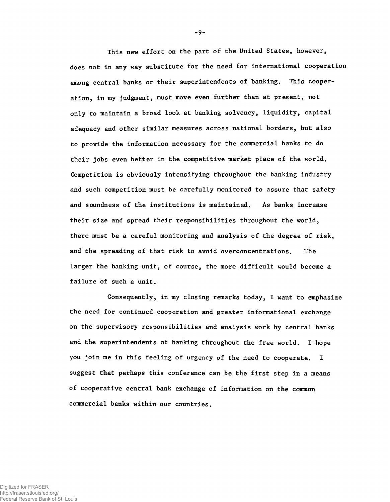This new effort on the part of the United States, however, does not in any way substitute for the need for international cooperation among central banks or their superintendents of banking. This cooperation, in my judgment, must move even further than at present, not only to maintain a broad look at banking solvency, liquidity, capital adequacy and other similar measures across national borders, but also to provide the information necessary for the commercial banks to do their jobs even better in the competitive market place of the world. Competition is obviously intensifying throughout the banking industry and such competition must be carefully monitored to assure that safety and soundness of the institutions is maintained. As banks increase their size and spread their responsibilities throughout the world, there must be a careful monitoring and analysis of the degree of risk, and the spreading of that risk to avoid overconcentrations. The larger the banking unit, of course, the more difficult would become a failure of such a unit.

Consequently, in my closing remarks today, I want to emphasize the need for continued cooperation and greater informational exchange on the supervisory responsibilities and analysis work by central banks and the superintendents of banking throughout the free world. I hope you join me in this feeling of urgency of the need to cooperate. I suggest that perhaps this conference can be the first step in a means of cooperative central bank exchange of information on the common commercial banks within our countries.

-9-